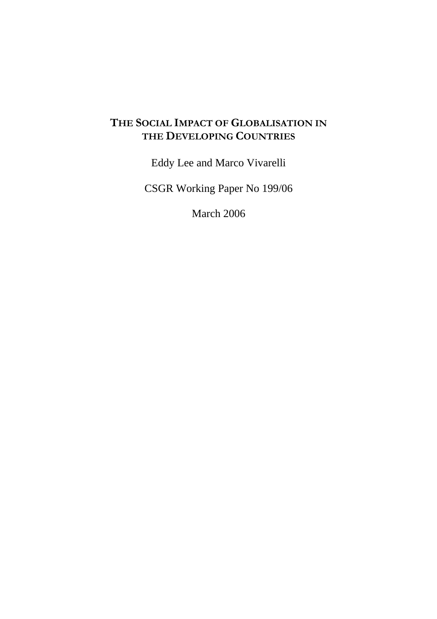# **THE SOCIAL IMPACT OF GLOBALISATION IN THE DEVELOPING COUNTRIES**

Eddy Lee and Marco Vivarelli

CSGR Working Paper No 199/06

March 2006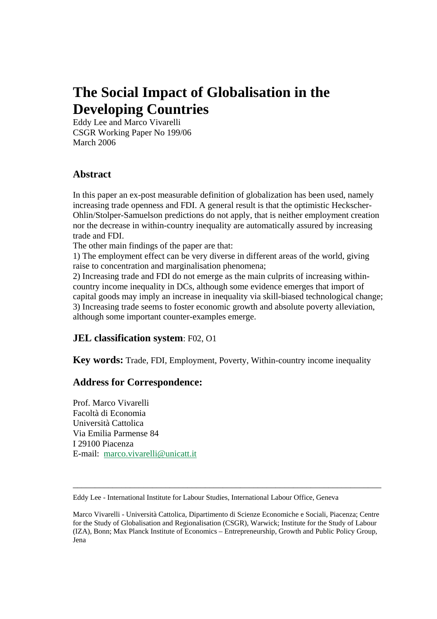# **The Social Impact of Globalisation in the Developing Countries**

Eddy Lee and Marco Vivarelli CSGR Working Paper No 199/06 March 2006

### **Abstract**

In this paper an ex-post measurable definition of globalization has been used, namely increasing trade openness and FDI. A general result is that the optimistic Heckscher-Ohlin/Stolper-Samuelson predictions do not apply, that is neither employment creation nor the decrease in within-country inequality are automatically assured by increasing trade and FDI.

The other main findings of the paper are that:

1) The employment effect can be very diverse in different areas of the world, giving raise to concentration and marginalisation phenomena;

2) Increasing trade and FDI do not emerge as the main culprits of increasing withincountry income inequality in DCs, although some evidence emerges that import of capital goods may imply an increase in inequality via skill-biased technological change; 3) Increasing trade seems to foster economic growth and absolute poverty alleviation, although some important counter-examples emerge.

### **JEL classification system**: F02, O1

**Key words:** Trade, FDI, Employment, Poverty, Within-country income inequality

### **Address for Correspondence:**

Prof. Marco Vivarelli Facoltà di Economia Università Cattolica Via Emilia Parmense 84 I 29100 Piacenza E-mail: marco.vivarelli@unicatt.it

\_\_\_\_\_\_\_\_\_\_\_\_\_\_\_\_\_\_\_\_\_\_\_\_\_\_\_\_\_\_\_\_\_\_\_\_\_\_\_\_\_\_\_\_\_\_\_\_\_\_\_\_\_\_\_\_\_\_\_\_\_\_\_\_\_\_\_\_\_\_

Eddy Lee - International Institute for Labour Studies, International Labour Office, Geneva

Marco Vivarelli - Università Cattolica, Dipartimento di Scienze Economiche e Sociali, Piacenza; Centre for the Study of Globalisation and Regionalisation (CSGR), Warwick; Institute for the Study of Labour (IZA), Bonn; Max Planck Institute of Economics – Entrepreneurship, Growth and Public Policy Group, Jena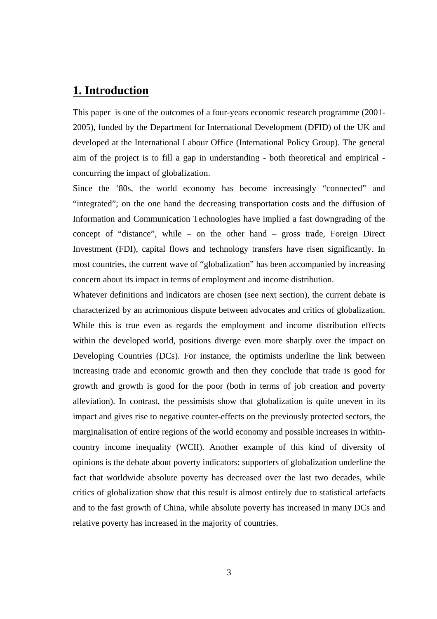### **1. Introduction**

This paper is one of the outcomes of a four-years economic research programme (2001- 2005), funded by the Department for International Development (DFID) of the UK and developed at the International Labour Office (International Policy Group). The general aim of the project is to fill a gap in understanding - both theoretical and empirical concurring the impact of globalization.

Since the '80s, the world economy has become increasingly "connected" and "integrated"; on the one hand the decreasing transportation costs and the diffusion of Information and Communication Technologies have implied a fast downgrading of the concept of "distance", while – on the other hand – gross trade, Foreign Direct Investment (FDI), capital flows and technology transfers have risen significantly. In most countries, the current wave of "globalization" has been accompanied by increasing concern about its impact in terms of employment and income distribution.

Whatever definitions and indicators are chosen (see next section), the current debate is characterized by an acrimonious dispute between advocates and critics of globalization. While this is true even as regards the employment and income distribution effects within the developed world, positions diverge even more sharply over the impact on Developing Countries (DCs). For instance, the optimists underline the link between increasing trade and economic growth and then they conclude that trade is good for growth and growth is good for the poor (both in terms of job creation and poverty alleviation). In contrast, the pessimists show that globalization is quite uneven in its impact and gives rise to negative counter-effects on the previously protected sectors, the marginalisation of entire regions of the world economy and possible increases in withincountry income inequality (WCII). Another example of this kind of diversity of opinions is the debate about poverty indicators: supporters of globalization underline the fact that worldwide absolute poverty has decreased over the last two decades, while critics of globalization show that this result is almost entirely due to statistical artefacts and to the fast growth of China, while absolute poverty has increased in many DCs and relative poverty has increased in the majority of countries.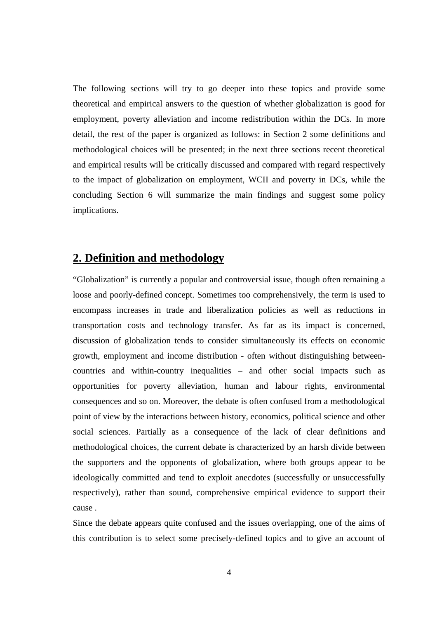The following sections will try to go deeper into these topics and provide some theoretical and empirical answers to the question of whether globalization is good for employment, poverty alleviation and income redistribution within the DCs. In more detail, the rest of the paper is organized as follows: in Section 2 some definitions and methodological choices will be presented; in the next three sections recent theoretical and empirical results will be critically discussed and compared with regard respectively to the impact of globalization on employment, WCII and poverty in DCs, while the concluding Section 6 will summarize the main findings and suggest some policy implications.

### **2. Definition and methodology**

"Globalization" is currently a popular and controversial issue, though often remaining a loose and poorly-defined concept. Sometimes too comprehensively, the term is used to encompass increases in trade and liberalization policies as well as reductions in transportation costs and technology transfer. As far as its impact is concerned, discussion of globalization tends to consider simultaneously its effects on economic growth, employment and income distribution - often without distinguishing betweencountries and within-country inequalities – and other social impacts such as opportunities for poverty alleviation, human and labour rights, environmental consequences and so on. Moreover, the debate is often confused from a methodological point of view by the interactions between history, economics, political science and other social sciences. Partially as a consequence of the lack of clear definitions and methodological choices, the current debate is characterized by an harsh divide between the supporters and the opponents of globalization, where both groups appear to be ideologically committed and tend to exploit anecdotes (successfully or unsuccessfully respectively), rather than sound, comprehensive empirical evidence to support their cause .

Since the debate appears quite confused and the issues overlapping, one of the aims of this contribution is to select some precisely-defined topics and to give an account of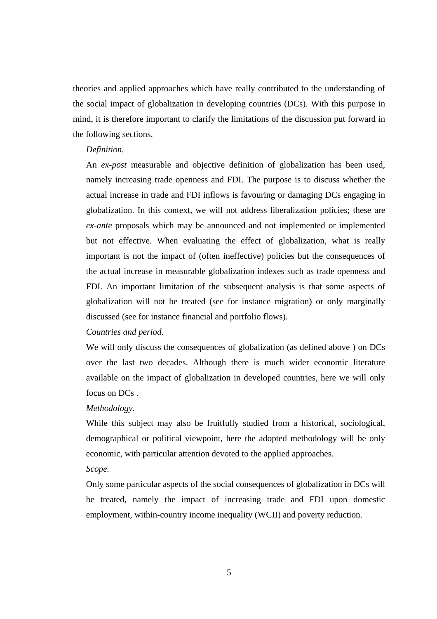theories and applied approaches which have really contributed to the understanding of the social impact of globalization in developing countries (DCs). With this purpose in mind, it is therefore important to clarify the limitations of the discussion put forward in the following sections.

#### *Definition.*

An *ex-post* measurable and objective definition of globalization has been used, namely increasing trade openness and FDI. The purpose is to discuss whether the actual increase in trade and FDI inflows is favouring or damaging DCs engaging in globalization. In this context, we will not address liberalization policies; these are *ex-ante* proposals which may be announced and not implemented or implemented but not effective. When evaluating the effect of globalization, what is really important is not the impact of (often ineffective) policies but the consequences of the actual increase in measurable globalization indexes such as trade openness and FDI. An important limitation of the subsequent analysis is that some aspects of globalization will not be treated (see for instance migration) or only marginally discussed (see for instance financial and portfolio flows).

#### *Countries and period.*

We will only discuss the consequences of globalization (as defined above ) on DCs over the last two decades. Although there is much wider economic literature available on the impact of globalization in developed countries, here we will only focus on DCs .

#### *Methodology.*

While this subject may also be fruitfully studied from a historical, sociological, demographical or political viewpoint, here the adopted methodology will be only economic, with particular attention devoted to the applied approaches.

#### *Scope.*

Only some particular aspects of the social consequences of globalization in DCs will be treated, namely the impact of increasing trade and FDI upon domestic employment, within-country income inequality (WCII) and poverty reduction.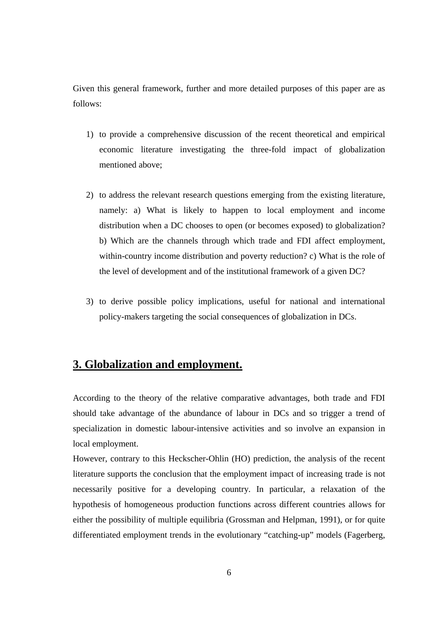Given this general framework, further and more detailed purposes of this paper are as follows:

- 1) to provide a comprehensive discussion of the recent theoretical and empirical economic literature investigating the three-fold impact of globalization mentioned above;
- 2) to address the relevant research questions emerging from the existing literature, namely: a) What is likely to happen to local employment and income distribution when a DC chooses to open (or becomes exposed) to globalization? b) Which are the channels through which trade and FDI affect employment, within-country income distribution and poverty reduction? c) What is the role of the level of development and of the institutional framework of a given DC?
- 3) to derive possible policy implications, useful for national and international policy-makers targeting the social consequences of globalization in DCs.

### **3. Globalization and employment.**

According to the theory of the relative comparative advantages, both trade and FDI should take advantage of the abundance of labour in DCs and so trigger a trend of specialization in domestic labour-intensive activities and so involve an expansion in local employment.

However, contrary to this Heckscher-Ohlin (HO) prediction, the analysis of the recent literature supports the conclusion that the employment impact of increasing trade is not necessarily positive for a developing country. In particular, a relaxation of the hypothesis of homogeneous production functions across different countries allows for either the possibility of multiple equilibria (Grossman and Helpman, 1991), or for quite differentiated employment trends in the evolutionary "catching-up" models (Fagerberg,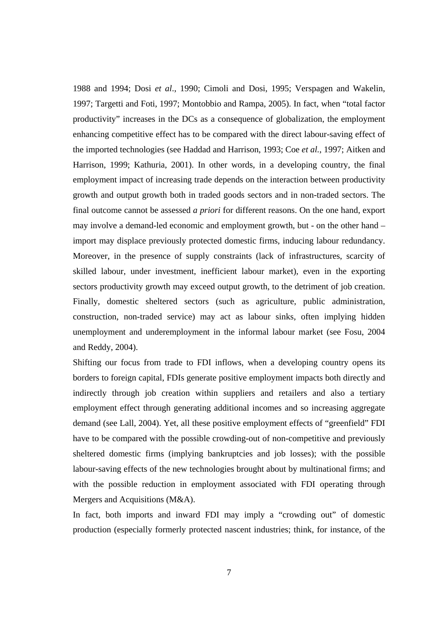1988 and 1994; Dosi *et al*., 1990; Cimoli and Dosi, 1995; Verspagen and Wakelin, 1997; Targetti and Foti, 1997; Montobbio and Rampa, 2005). In fact, when "total factor productivity" increases in the DCs as a consequence of globalization, the employment enhancing competitive effect has to be compared with the direct labour-saving effect of the imported technologies (see Haddad and Harrison, 1993; Coe *et al.*, 1997; Aitken and Harrison, 1999; Kathuria, 2001). In other words, in a developing country, the final employment impact of increasing trade depends on the interaction between productivity growth and output growth both in traded goods sectors and in non-traded sectors. The final outcome cannot be assessed *a priori* for different reasons. On the one hand, export may involve a demand-led economic and employment growth, but - on the other hand – import may displace previously protected domestic firms, inducing labour redundancy. Moreover, in the presence of supply constraints (lack of infrastructures, scarcity of skilled labour, under investment, inefficient labour market), even in the exporting sectors productivity growth may exceed output growth, to the detriment of job creation. Finally, domestic sheltered sectors (such as agriculture, public administration, construction, non-traded service) may act as labour sinks, often implying hidden unemployment and underemployment in the informal labour market (see Fosu, 2004 and Reddy, 2004).

Shifting our focus from trade to FDI inflows, when a developing country opens its borders to foreign capital, FDIs generate positive employment impacts both directly and indirectly through job creation within suppliers and retailers and also a tertiary employment effect through generating additional incomes and so increasing aggregate demand (see Lall, 2004). Yet, all these positive employment effects of "greenfield" FDI have to be compared with the possible crowding-out of non-competitive and previously sheltered domestic firms (implying bankruptcies and job losses); with the possible labour-saving effects of the new technologies brought about by multinational firms; and with the possible reduction in employment associated with FDI operating through Mergers and Acquisitions (M&A).

In fact, both imports and inward FDI may imply a "crowding out" of domestic production (especially formerly protected nascent industries; think, for instance, of the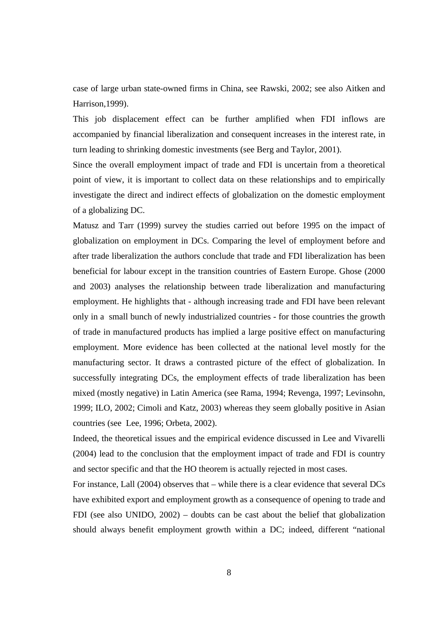case of large urban state-owned firms in China, see Rawski, 2002; see also Aitken and Harrison,1999).

This job displacement effect can be further amplified when FDI inflows are accompanied by financial liberalization and consequent increases in the interest rate, in turn leading to shrinking domestic investments (see Berg and Taylor, 2001).

Since the overall employment impact of trade and FDI is uncertain from a theoretical point of view, it is important to collect data on these relationships and to empirically investigate the direct and indirect effects of globalization on the domestic employment of a globalizing DC.

Matusz and Tarr (1999) survey the studies carried out before 1995 on the impact of globalization on employment in DCs. Comparing the level of employment before and after trade liberalization the authors conclude that trade and FDI liberalization has been beneficial for labour except in the transition countries of Eastern Europe. Ghose (2000 and 2003) analyses the relationship between trade liberalization and manufacturing employment. He highlights that - although increasing trade and FDI have been relevant only in a small bunch of newly industrialized countries - for those countries the growth of trade in manufactured products has implied a large positive effect on manufacturing employment. More evidence has been collected at the national level mostly for the manufacturing sector. It draws a contrasted picture of the effect of globalization. In successfully integrating DCs, the employment effects of trade liberalization has been mixed (mostly negative) in Latin America (see Rama, 1994; Revenga, 1997; Levinsohn, 1999; ILO, 2002; Cimoli and Katz, 2003) whereas they seem globally positive in Asian countries (see Lee, 1996; Orbeta, 2002).

Indeed, the theoretical issues and the empirical evidence discussed in Lee and Vivarelli (2004) lead to the conclusion that the employment impact of trade and FDI is country and sector specific and that the HO theorem is actually rejected in most cases.

For instance, Lall (2004) observes that – while there is a clear evidence that several DCs have exhibited export and employment growth as a consequence of opening to trade and FDI (see also UNIDO, 2002) – doubts can be cast about the belief that globalization should always benefit employment growth within a DC; indeed, different "national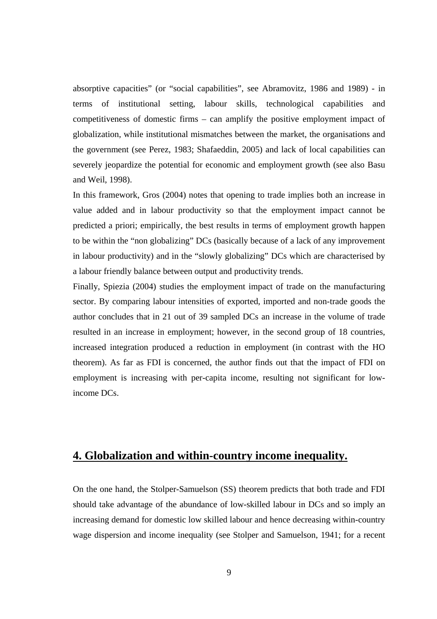absorptive capacities" (or "social capabilities", see Abramovitz, 1986 and 1989) - in terms of institutional setting, labour skills, technological capabilities and competitiveness of domestic firms – can amplify the positive employment impact of globalization, while institutional mismatches between the market, the organisations and the government (see Perez, 1983; Shafaeddin, 2005) and lack of local capabilities can severely jeopardize the potential for economic and employment growth (see also Basu and Weil, 1998).

In this framework, Gros (2004) notes that opening to trade implies both an increase in value added and in labour productivity so that the employment impact cannot be predicted a priori; empirically, the best results in terms of employment growth happen to be within the "non globalizing" DCs (basically because of a lack of any improvement in labour productivity) and in the "slowly globalizing" DCs which are characterised by a labour friendly balance between output and productivity trends.

Finally, Spiezia (2004) studies the employment impact of trade on the manufacturing sector. By comparing labour intensities of exported, imported and non-trade goods the author concludes that in 21 out of 39 sampled DCs an increase in the volume of trade resulted in an increase in employment; however, in the second group of 18 countries, increased integration produced a reduction in employment (in contrast with the HO theorem). As far as FDI is concerned, the author finds out that the impact of FDI on employment is increasing with per-capita income, resulting not significant for lowincome DCs.

# **4. Globalization and within-country income inequality.**

On the one hand, the Stolper-Samuelson (SS) theorem predicts that both trade and FDI should take advantage of the abundance of low-skilled labour in DCs and so imply an increasing demand for domestic low skilled labour and hence decreasing within-country wage dispersion and income inequality (see Stolper and Samuelson, 1941; for a recent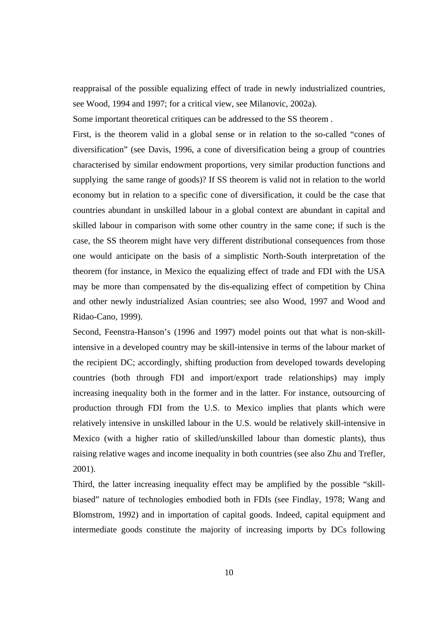reappraisal of the possible equalizing effect of trade in newly industrialized countries, see Wood, 1994 and 1997; for a critical view, see Milanovic, 2002a).

Some important theoretical critiques can be addressed to the SS theorem .

First, is the theorem valid in a global sense or in relation to the so-called "cones of diversification" (see Davis, 1996, a cone of diversification being a group of countries characterised by similar endowment proportions, very similar production functions and supplying the same range of goods)? If SS theorem is valid not in relation to the world economy but in relation to a specific cone of diversification, it could be the case that countries abundant in unskilled labour in a global context are abundant in capital and skilled labour in comparison with some other country in the same cone; if such is the case, the SS theorem might have very different distributional consequences from those one would anticipate on the basis of a simplistic North-South interpretation of the theorem (for instance, in Mexico the equalizing effect of trade and FDI with the USA may be more than compensated by the dis-equalizing effect of competition by China and other newly industrialized Asian countries; see also Wood, 1997 and Wood and Ridao-Cano, 1999).

Second, Feenstra-Hanson's (1996 and 1997) model points out that what is non-skillintensive in a developed country may be skill-intensive in terms of the labour market of the recipient DC; accordingly, shifting production from developed towards developing countries (both through FDI and import/export trade relationships) may imply increasing inequality both in the former and in the latter. For instance, outsourcing of production through FDI from the U.S. to Mexico implies that plants which were relatively intensive in unskilled labour in the U.S. would be relatively skill-intensive in Mexico (with a higher ratio of skilled/unskilled labour than domestic plants), thus raising relative wages and income inequality in both countries (see also Zhu and Trefler, 2001).

Third, the latter increasing inequality effect may be amplified by the possible "skillbiased" nature of technologies embodied both in FDIs (see Findlay, 1978; Wang and Blomstrom, 1992) and in importation of capital goods. Indeed, capital equipment and intermediate goods constitute the majority of increasing imports by DCs following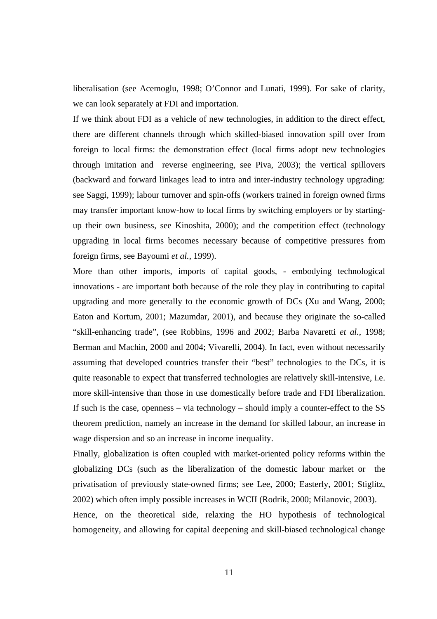liberalisation (see Acemoglu, 1998; O'Connor and Lunati, 1999). For sake of clarity, we can look separately at FDI and importation.

If we think about FDI as a vehicle of new technologies, in addition to the direct effect, there are different channels through which skilled-biased innovation spill over from foreign to local firms: the demonstration effect (local firms adopt new technologies through imitation and reverse engineering, see Piva, 2003); the vertical spillovers (backward and forward linkages lead to intra and inter-industry technology upgrading: see Saggi, 1999); labour turnover and spin-offs (workers trained in foreign owned firms may transfer important know-how to local firms by switching employers or by startingup their own business, see Kinoshita, 2000); and the competition effect (technology upgrading in local firms becomes necessary because of competitive pressures from foreign firms, see Bayoumi *et al.*, 1999).

More than other imports, imports of capital goods, - embodying technological innovations - are important both because of the role they play in contributing to capital upgrading and more generally to the economic growth of DCs (Xu and Wang, 2000; Eaton and Kortum, 2001; Mazumdar, 2001), and because they originate the so-called "skill-enhancing trade", (see Robbins, 1996 and 2002; Barba Navaretti *et al.*, 1998; Berman and Machin, 2000 and 2004; Vivarelli, 2004). In fact, even without necessarily assuming that developed countries transfer their "best" technologies to the DCs, it is quite reasonable to expect that transferred technologies are relatively skill-intensive, i.e. more skill-intensive than those in use domestically before trade and FDI liberalization. If such is the case, openness – via technology – should imply a counter-effect to the SS theorem prediction, namely an increase in the demand for skilled labour, an increase in wage dispersion and so an increase in income inequality.

Finally, globalization is often coupled with market-oriented policy reforms within the globalizing DCs (such as the liberalization of the domestic labour market or the privatisation of previously state-owned firms; see Lee, 2000; Easterly, 2001; Stiglitz, 2002) which often imply possible increases in WCII (Rodrik, 2000; Milanovic, 2003).

Hence, on the theoretical side, relaxing the HO hypothesis of technological homogeneity, and allowing for capital deepening and skill-biased technological change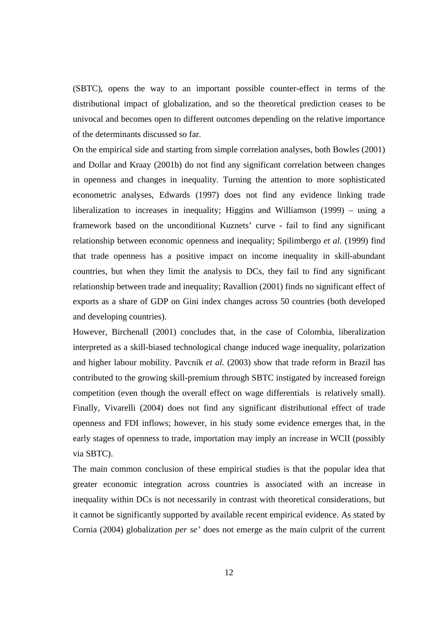(SBTC), opens the way to an important possible counter-effect in terms of the distributional impact of globalization, and so the theoretical prediction ceases to be univocal and becomes open to different outcomes depending on the relative importance of the determinants discussed so far.

On the empirical side and starting from simple correlation analyses, both Bowles (2001) and Dollar and Kraay (2001b) do not find any significant correlation between changes in openness and changes in inequality. Turning the attention to more sophisticated econometric analyses, Edwards (1997) does not find any evidence linking trade liberalization to increases in inequality; Higgins and Williamson (1999) – using a framework based on the unconditional Kuznets' curve - fail to find any significant relationship between economic openness and inequality; Spilimbergo *et al.* (1999) find that trade openness has a positive impact on income inequality in skill-abundant countries, but when they limit the analysis to DCs, they fail to find any significant relationship between trade and inequality; Ravallion (2001) finds no significant effect of exports as a share of GDP on Gini index changes across 50 countries (both developed and developing countries).

However, Birchenall (2001) concludes that, in the case of Colombia, liberalization interpreted as a skill-biased technological change induced wage inequality, polarization and higher labour mobility. Pavcnik *et al.* (2003) show that trade reform in Brazil has contributed to the growing skill-premium through SBTC instigated by increased foreign competition (even though the overall effect on wage differentials is relatively small). Finally, Vivarelli (2004) does not find any significant distributional effect of trade openness and FDI inflows; however, in his study some evidence emerges that, in the early stages of openness to trade, importation may imply an increase in WCII (possibly via SBTC).

The main common conclusion of these empirical studies is that the popular idea that greater economic integration across countries is associated with an increase in inequality within DCs is not necessarily in contrast with theoretical considerations, but it cannot be significantly supported by available recent empirical evidence. As stated by Cornia (2004) globalization *per se'* does not emerge as the main culprit of the current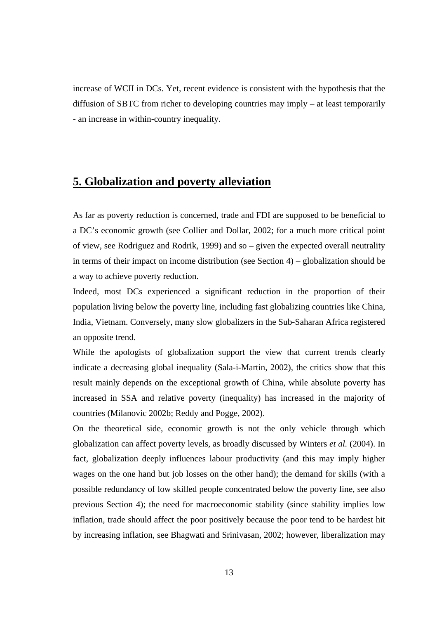increase of WCII in DCs. Yet, recent evidence is consistent with the hypothesis that the diffusion of SBTC from richer to developing countries may imply – at least temporarily - an increase in within-country inequality.

# **5. Globalization and poverty alleviation**

As far as poverty reduction is concerned, trade and FDI are supposed to be beneficial to a DC's economic growth (see Collier and Dollar, 2002; for a much more critical point of view, see Rodriguez and Rodrik, 1999) and so – given the expected overall neutrality in terms of their impact on income distribution (see Section 4) – globalization should be a way to achieve poverty reduction.

Indeed, most DCs experienced a significant reduction in the proportion of their population living below the poverty line, including fast globalizing countries like China, India, Vietnam. Conversely, many slow globalizers in the Sub-Saharan Africa registered an opposite trend.

While the apologists of globalization support the view that current trends clearly indicate a decreasing global inequality (Sala-i-Martin, 2002), the critics show that this result mainly depends on the exceptional growth of China, while absolute poverty has increased in SSA and relative poverty (inequality) has increased in the majority of countries (Milanovic 2002b; Reddy and Pogge, 2002).

On the theoretical side, economic growth is not the only vehicle through which globalization can affect poverty levels, as broadly discussed by Winters *et al.* (2004). In fact, globalization deeply influences labour productivity (and this may imply higher wages on the one hand but job losses on the other hand); the demand for skills (with a possible redundancy of low skilled people concentrated below the poverty line, see also previous Section 4); the need for macroeconomic stability (since stability implies low inflation, trade should affect the poor positively because the poor tend to be hardest hit by increasing inflation, see Bhagwati and Srinivasan, 2002; however, liberalization may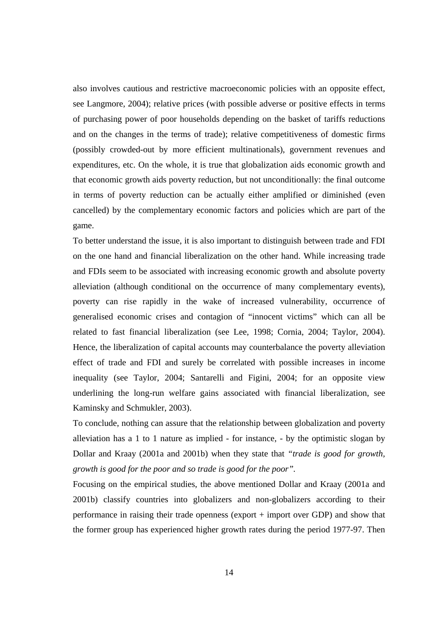also involves cautious and restrictive macroeconomic policies with an opposite effect, see Langmore, 2004); relative prices (with possible adverse or positive effects in terms of purchasing power of poor households depending on the basket of tariffs reductions and on the changes in the terms of trade); relative competitiveness of domestic firms (possibly crowded-out by more efficient multinationals), government revenues and expenditures, etc. On the whole, it is true that globalization aids economic growth and that economic growth aids poverty reduction, but not unconditionally: the final outcome in terms of poverty reduction can be actually either amplified or diminished (even cancelled) by the complementary economic factors and policies which are part of the game.

To better understand the issue, it is also important to distinguish between trade and FDI on the one hand and financial liberalization on the other hand. While increasing trade and FDIs seem to be associated with increasing economic growth and absolute poverty alleviation (although conditional on the occurrence of many complementary events), poverty can rise rapidly in the wake of increased vulnerability, occurrence of generalised economic crises and contagion of "innocent victims" which can all be related to fast financial liberalization (see Lee, 1998; Cornia, 2004; Taylor, 2004). Hence, the liberalization of capital accounts may counterbalance the poverty alleviation effect of trade and FDI and surely be correlated with possible increases in income inequality (see Taylor, 2004; Santarelli and Figini, 2004; for an opposite view underlining the long-run welfare gains associated with financial liberalization, see Kaminsky and Schmukler, 2003).

To conclude, nothing can assure that the relationship between globalization and poverty alleviation has a 1 to 1 nature as implied - for instance, - by the optimistic slogan by Dollar and Kraay (2001a and 2001b) when they state that *"trade is good for growth, growth is good for the poor and so trade is good for the poor".* 

Focusing on the empirical studies, the above mentioned Dollar and Kraay (2001a and 2001b) classify countries into globalizers and non-globalizers according to their performance in raising their trade openness (export + import over GDP) and show that the former group has experienced higher growth rates during the period 1977-97. Then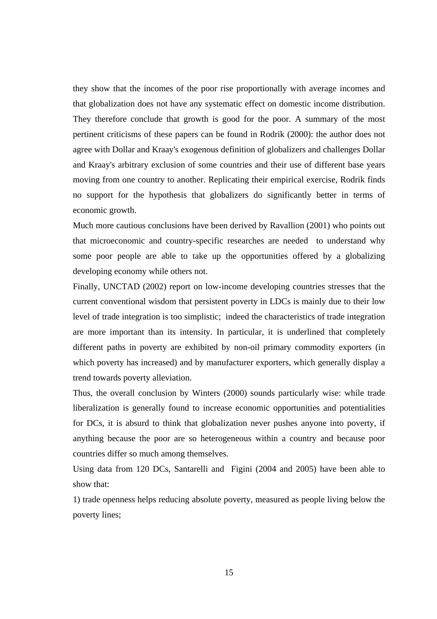they show that the incomes of the poor rise proportionally with average incomes and that globalization does not have any systematic effect on domestic income distribution. They therefore conclude that growth is good for the poor. A summary of the most pertinent criticisms of these papers can be found in Rodrik (2000): the author does not agree with Dollar and Kraay's exogenous definition of globalizers and challenges Dollar and Kraay's arbitrary exclusion of some countries and their use of different base years moving from one country to another. Replicating their empirical exercise, Rodrik finds no support for the hypothesis that globalizers do significantly better in terms of economic growth.

Much more cautious conclusions have been derived by Ravallion (2001) who points out that microeconomic and country-specific researches are needed to understand why some poor people are able to take up the opportunities offered by a globalizing developing economy while others not.

Finally, UNCTAD (2002) report on low-income developing countries stresses that the current conventional wisdom that persistent poverty in LDCs is mainly due to their low level of trade integration is too simplistic; indeed the characteristics of trade integration are more important than its intensity. In particular, it is underlined that completely different paths in poverty are exhibited by non-oil primary commodity exporters (in which poverty has increased) and by manufacturer exporters, which generally display a trend towards poverty alleviation.

Thus, the overall conclusion by Winters (2000) sounds particularly wise: while trade liberalization is generally found to increase economic opportunities and potentialities for DCs, it is absurd to think that globalization never pushes anyone into poverty, if anything because the poor are so heterogeneous within a country and because poor countries differ so much among themselves.

Using data from 120 DCs, Santarelli and Figini (2004 and 2005) have been able to show that:

1) trade openness helps reducing absolute poverty, measured as people living below the poverty lines;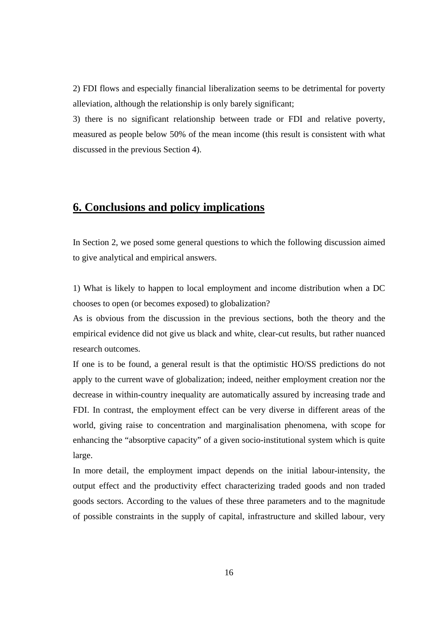2) FDI flows and especially financial liberalization seems to be detrimental for poverty alleviation, although the relationship is only barely significant;

3) there is no significant relationship between trade or FDI and relative poverty, measured as people below 50% of the mean income (this result is consistent with what discussed in the previous Section 4).

## **6. Conclusions and policy implications**

In Section 2, we posed some general questions to which the following discussion aimed to give analytical and empirical answers.

1) What is likely to happen to local employment and income distribution when a DC chooses to open (or becomes exposed) to globalization?

As is obvious from the discussion in the previous sections, both the theory and the empirical evidence did not give us black and white, clear-cut results, but rather nuanced research outcomes.

If one is to be found, a general result is that the optimistic HO/SS predictions do not apply to the current wave of globalization; indeed, neither employment creation nor the decrease in within-country inequality are automatically assured by increasing trade and FDI. In contrast, the employment effect can be very diverse in different areas of the world, giving raise to concentration and marginalisation phenomena, with scope for enhancing the "absorptive capacity" of a given socio-institutional system which is quite large.

In more detail, the employment impact depends on the initial labour-intensity, the output effect and the productivity effect characterizing traded goods and non traded goods sectors. According to the values of these three parameters and to the magnitude of possible constraints in the supply of capital, infrastructure and skilled labour, very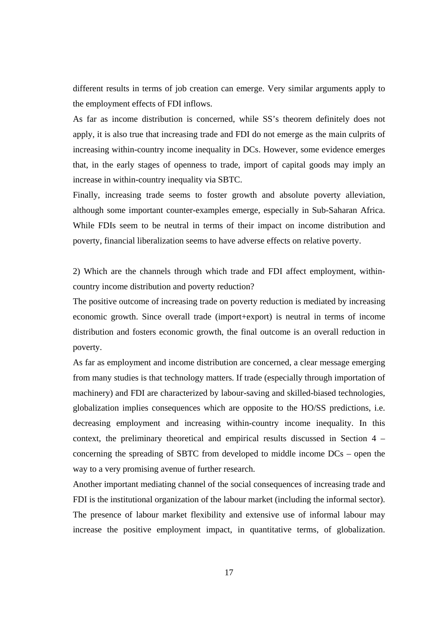different results in terms of job creation can emerge. Very similar arguments apply to the employment effects of FDI inflows.

As far as income distribution is concerned, while SS's theorem definitely does not apply, it is also true that increasing trade and FDI do not emerge as the main culprits of increasing within-country income inequality in DCs. However, some evidence emerges that, in the early stages of openness to trade, import of capital goods may imply an increase in within-country inequality via SBTC.

Finally, increasing trade seems to foster growth and absolute poverty alleviation, although some important counter-examples emerge, especially in Sub-Saharan Africa. While FDIs seem to be neutral in terms of their impact on income distribution and poverty, financial liberalization seems to have adverse effects on relative poverty.

2) Which are the channels through which trade and FDI affect employment, withincountry income distribution and poverty reduction?

The positive outcome of increasing trade on poverty reduction is mediated by increasing economic growth. Since overall trade (import+export) is neutral in terms of income distribution and fosters economic growth, the final outcome is an overall reduction in poverty.

As far as employment and income distribution are concerned, a clear message emerging from many studies is that technology matters. If trade (especially through importation of machinery) and FDI are characterized by labour-saving and skilled-biased technologies, globalization implies consequences which are opposite to the HO/SS predictions, i.e. decreasing employment and increasing within-country income inequality. In this context, the preliminary theoretical and empirical results discussed in Section 4 – concerning the spreading of SBTC from developed to middle income DCs – open the way to a very promising avenue of further research.

Another important mediating channel of the social consequences of increasing trade and FDI is the institutional organization of the labour market (including the informal sector). The presence of labour market flexibility and extensive use of informal labour may increase the positive employment impact, in quantitative terms, of globalization.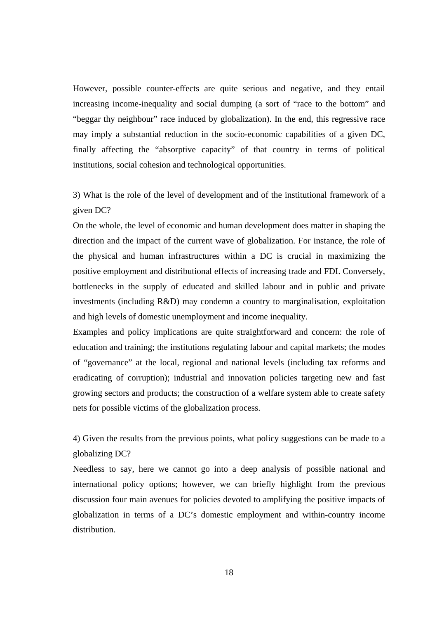However, possible counter-effects are quite serious and negative, and they entail increasing income-inequality and social dumping (a sort of "race to the bottom" and "beggar thy neighbour" race induced by globalization). In the end, this regressive race may imply a substantial reduction in the socio-economic capabilities of a given DC, finally affecting the "absorptive capacity" of that country in terms of political institutions, social cohesion and technological opportunities.

3) What is the role of the level of development and of the institutional framework of a given DC?

On the whole, the level of economic and human development does matter in shaping the direction and the impact of the current wave of globalization. For instance, the role of the physical and human infrastructures within a DC is crucial in maximizing the positive employment and distributional effects of increasing trade and FDI. Conversely, bottlenecks in the supply of educated and skilled labour and in public and private investments (including R&D) may condemn a country to marginalisation, exploitation and high levels of domestic unemployment and income inequality.

Examples and policy implications are quite straightforward and concern: the role of education and training; the institutions regulating labour and capital markets; the modes of "governance" at the local, regional and national levels (including tax reforms and eradicating of corruption); industrial and innovation policies targeting new and fast growing sectors and products; the construction of a welfare system able to create safety nets for possible victims of the globalization process.

4) Given the results from the previous points, what policy suggestions can be made to a globalizing DC?

Needless to say, here we cannot go into a deep analysis of possible national and international policy options; however, we can briefly highlight from the previous discussion four main avenues for policies devoted to amplifying the positive impacts of globalization in terms of a DC's domestic employment and within-country income distribution.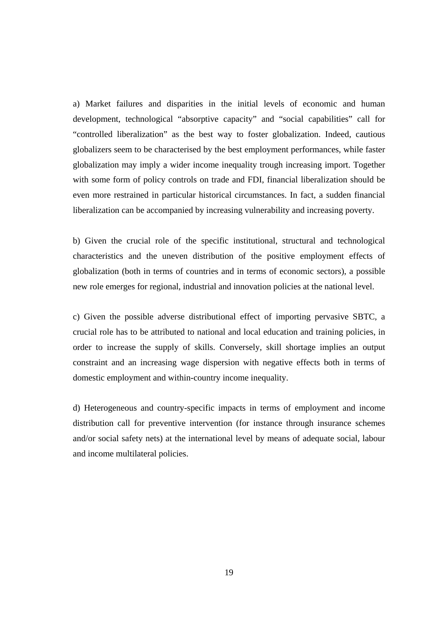a) Market failures and disparities in the initial levels of economic and human development, technological "absorptive capacity" and "social capabilities" call for "controlled liberalization" as the best way to foster globalization. Indeed, cautious globalizers seem to be characterised by the best employment performances, while faster globalization may imply a wider income inequality trough increasing import. Together with some form of policy controls on trade and FDI, financial liberalization should be even more restrained in particular historical circumstances. In fact, a sudden financial liberalization can be accompanied by increasing vulnerability and increasing poverty.

b) Given the crucial role of the specific institutional, structural and technological characteristics and the uneven distribution of the positive employment effects of globalization (both in terms of countries and in terms of economic sectors), a possible new role emerges for regional, industrial and innovation policies at the national level.

c) Given the possible adverse distributional effect of importing pervasive SBTC, a crucial role has to be attributed to national and local education and training policies, in order to increase the supply of skills. Conversely, skill shortage implies an output constraint and an increasing wage dispersion with negative effects both in terms of domestic employment and within-country income inequality.

d) Heterogeneous and country-specific impacts in terms of employment and income distribution call for preventive intervention (for instance through insurance schemes and/or social safety nets) at the international level by means of adequate social, labour and income multilateral policies.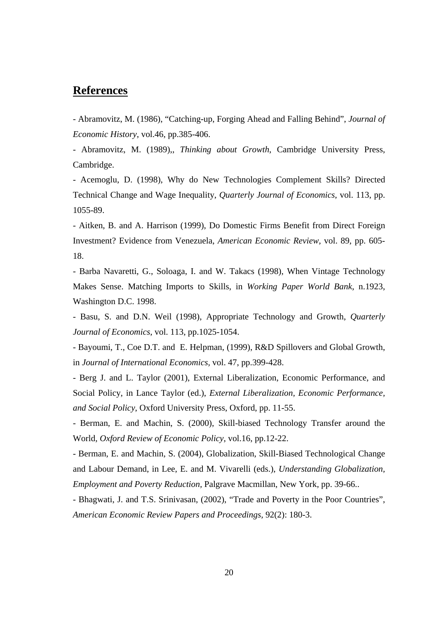### **References**

- Abramovitz, M. (1986), "Catching-up, Forging Ahead and Falling Behind", *Journal of Economic History*, vol.46, pp.385-406.

- Abramovitz, M. (1989),, *Thinking about Growth*, Cambridge University Press, Cambridge.

- Acemoglu, D. (1998), Why do New Technologies Complement Skills? Directed Technical Change and Wage Inequality, *Quarterly Journal of Economics*, vol. 113, pp. 1055-89.

- Aitken, B. and A. Harrison (1999), Do Domestic Firms Benefit from Direct Foreign Investment? Evidence from Venezuela, *American Economic Review,* vol. 89, pp. 605- 18.

- Barba Navaretti, G., Soloaga, I. and W. Takacs (1998), When Vintage Technology Makes Sense. Matching Imports to Skills, in *Working Paper World Bank*, n.1923, Washington D.C. 1998.

- Basu, S. and D.N. Weil (1998), Appropriate Technology and Growth, *Quarterly Journal of Economics*, vol. 113, pp.1025-1054.

- Bayoumi, T., Coe D.T. and E. Helpman, (1999), R&D Spillovers and Global Growth, in *Journal of International Economics,* vol. 47, pp.399-428.

- Berg J. and L. Taylor (2001), External Liberalization, Economic Performance, and Social Policy, in Lance Taylor (ed.), *External Liberalization, Economic Performance, and Social Policy*, Oxford University Press, Oxford, pp. 11-55.

- Berman, E. and Machin, S. (2000), Skill-biased Technology Transfer around the World*, Oxford Review of Economic Policy*, vol.16, pp.12-22.

- Berman, E. and Machin, S. (2004), Globalization, Skill-Biased Technological Change and Labour Demand, in Lee, E. and M. Vivarelli (eds.), *Understanding Globalization, Employment and Poverty Reduction,* Palgrave Macmillan, New York, pp. 39-66..

- Bhagwati, J. and T.S. Srinivasan, (2002), "Trade and Poverty in the Poor Countries", *American Economic Review Papers and Proceedings,* 92(2): 180-3.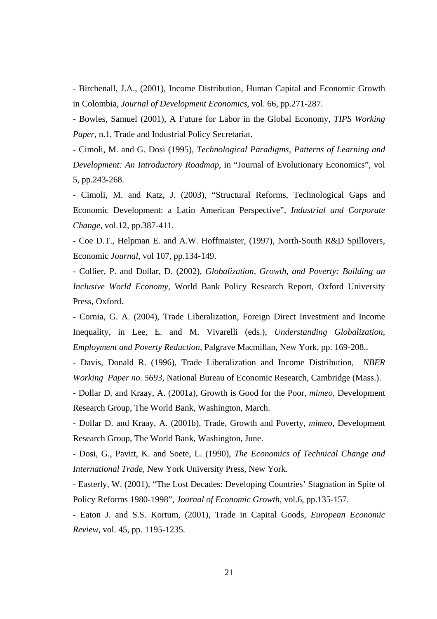- Birchenall, J.A., (2001), Income Distribution, Human Capital and Economic Growth in Colombia, *Journal of Development Economics*, vol. 66, pp.271-287.

- Bowles, Samuel (2001), A Future for Labor in the Global Economy, *TIPS Working Paper*, n.1, Trade and Industrial Policy Secretariat.

- Cimoli, M. and G. Dosi (1995), *Technological Paradigms, Patterns of Learning and Development: An Introductory Roadmap*, in "Journal of Evolutionary Economics", vol 5, pp.243-268.

- Cimoli, M. and Katz, J. (2003), "Structural Reforms, Technological Gaps and Economic Development: a Latin American Perspective", *Industrial and Corporate Change*, vol.12, pp.387-411.

- Coe D.T., Helpman E. and A.W. Hoffmaister, (1997), North-South R&D Spillovers, Economic *Journal*, vol 107, pp.134-149.

- Collier, P. and Dollar, D. (2002), *Globalization, Growth, and Poverty: Building an Inclusive World Economy*, World Bank Policy Research Report, Oxford University Press, Oxford.

- Cornia, G. A. (2004), Trade Liberalization, Foreign Direct Investment and Income Inequality, in Lee, E. and M. Vivarelli (eds.), *Understanding Globalization, Employment and Poverty Reduction,* Palgrave Macmillan, New York, pp. 169-208..

- Davis, Donald R. (1996), Trade Liberalization and Income Distribution, *NBER Working Paper no. 5693*, National Bureau of Economic Research, Cambridge (Mass.).

- Dollar D. and Kraay, A. (2001a), Growth is Good for the Poor*, mimeo*, Development Research Group, The World Bank, Washington, March.

- Dollar D. and Kraay, A. (2001b), Trade, Growth and Poverty*, mimeo*, Development Research Group, The World Bank, Washington, June.

- Dosi, G., Pavitt, K. and Soete, L. (1990), *The Economics of Technical Change and International Trade*, New York University Press, New York.

- Easterly, W. (2001), "The Lost Decades: Developing Countries' Stagnation in Spite of Policy Reforms 1980-1998", *Journal of Economic Growth*, vol.6, pp.135-157.

- Eaton J. and S.S. Kortum, (2001), Trade in Capital Goods, *European Economic Review*, vol. 45, pp. 1195-1235.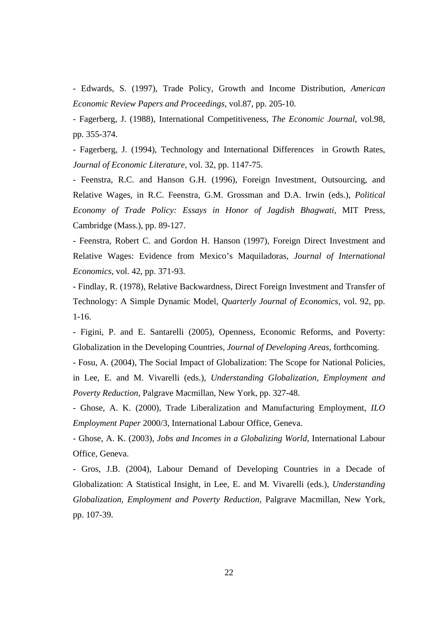- Edwards, S. (1997), Trade Policy, Growth and Income Distribution, *American Economic Review Papers and Proceedings*, vol.87, pp. 205-10.

- Fagerberg, J. (1988), International Competitiveness, *The Economic Journal*, vol.98, pp. 355-374.

- Fagerberg, J. (1994), Technology and International Differences in Growth Rates, *Journal of Economic Literature,* vol. 32, pp. 1147-75.

- Feenstra, R.C. and Hanson G.H. (1996), Foreign Investment, Outsourcing, and Relative Wages, in R.C. Feenstra, G.M. Grossman and D.A. Irwin (eds.), *Political Economy of Trade Policy: Essays in Honor of Jagdish Bhagwati*, MIT Press, Cambridge (Mass.), pp. 89-127.

- Feenstra, Robert C. and Gordon H. Hanson (1997), Foreign Direct Investment and Relative Wages: Evidence from Mexico's Maquiladoras, *Journal of International Economics*, vol. 42, pp. 371-93.

- Findlay, R. (1978), Relative Backwardness, Direct Foreign Investment and Transfer of Technology: A Simple Dynamic Model, *Quarterly Journal of Economics*, vol. 92, pp. 1-16.

- Figini, P. and E. Santarelli (2005), Openness, Economic Reforms, and Poverty: Globalization in the Developing Countries, *Journal of Developing Areas*, forthcoming.

- Fosu, A. (2004), The Social Impact of Globalization: The Scope for National Policies, in Lee, E. and M. Vivarelli (eds.), *Understanding Globalization, Employment and Poverty Reduction,* Palgrave Macmillan, New York, pp. 327-48.

- Ghose, A. K. (2000), Trade Liberalization and Manufacturing Employment, *ILO Employment Paper* 2000/3, International Labour Office, Geneva.

- Ghose, A. K. (2003), *Jobs and Incomes in a Globalizing World*, International Labour Office, Geneva.

- Gros, J.B. (2004), Labour Demand of Developing Countries in a Decade of Globalization: A Statistical Insight, in Lee, E. and M. Vivarelli (eds.), *Understanding Globalization, Employment and Poverty Reduction,* Palgrave Macmillan, New York, pp. 107-39.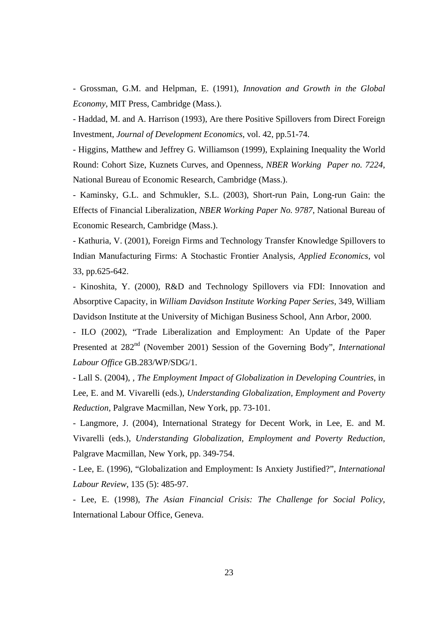- Grossman, G.M. and Helpman, E. (1991), *Innovation and Growth in the Global Economy*, MIT Press, Cambridge (Mass.).

- Haddad, M. and A. Harrison (1993), Are there Positive Spillovers from Direct Foreign Investment, *Journal of Development Economics*, vol. 42, pp.51-74.

- Higgins, Matthew and Jeffrey G. Williamson (1999), Explaining Inequality the World Round: Cohort Size, Kuznets Curves, and Openness, *NBER Working Paper no. 7224*, National Bureau of Economic Research, Cambridge (Mass.).

- Kaminsky, G.L. and Schmukler, S.L. (2003), Short-run Pain, Long-run Gain: the Effects of Financial Liberalization, *NBER Working Paper No. 9787*, National Bureau of Economic Research, Cambridge (Mass.).

- Kathuria, V. (2001), Foreign Firms and Technology Transfer Knowledge Spillovers to Indian Manufacturing Firms: A Stochastic Frontier Analysis, *Applied Economics*, vol 33, pp.625-642.

- Kinoshita, Y. (2000), R&D and Technology Spillovers via FDI: Innovation and Absorptive Capacity, in *William Davidson Institute Working Paper Series*, 349, William Davidson Institute at the University of Michigan Business School, Ann Arbor, 2000.

- ILO (2002), "Trade Liberalization and Employment: An Update of the Paper Presented at 282<sup>nd</sup> (November 2001) Session of the Governing Body", *International Labour Office* GB.283/WP/SDG/1.

- Lall S. (2004), , *The Employment Impact of Globalization in Developing Countries*, in Lee, E. and M. Vivarelli (eds.), *Understanding Globalization, Employment and Poverty Reduction,* Palgrave Macmillan, New York, pp. 73-101.

- Langmore, J. (2004), International Strategy for Decent Work, in Lee, E. and M. Vivarelli (eds.), *Understanding Globalization, Employment and Poverty Reduction,*  Palgrave Macmillan, New York, pp. 349-754.

- Lee, E. (1996), "Globalization and Employment: Is Anxiety Justified?", *International Labour Review*, 135 (5): 485-97.

- Lee, E. (1998), *The Asian Financial Crisis: The Challenge for Social Policy*, International Labour Office, Geneva.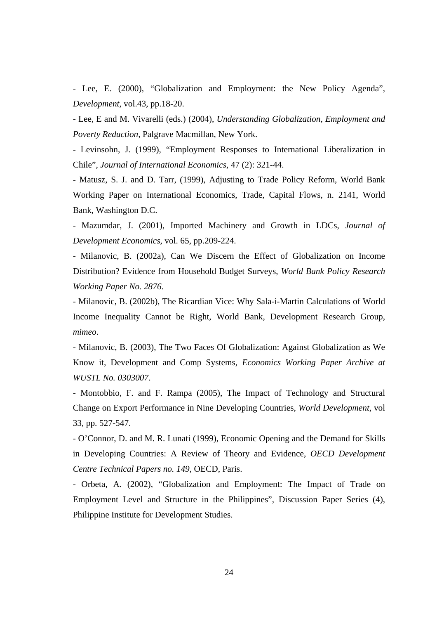- Lee, E. (2000), "Globalization and Employment: the New Policy Agenda", *Development*, vol.43, pp.18-20.

- Lee, E and M. Vivarelli (eds.) (2004), *Understanding Globalization, Employment and Poverty Reduction,* Palgrave Macmillan, New York.

- Levinsohn, J. (1999), "Employment Responses to International Liberalization in Chile", *Journal of International Economics*, 47 (2): 321-44.

- Matusz, S. J. and D. Tarr, (1999), Adjusting to Trade Policy Reform, World Bank Working Paper on International Economics, Trade, Capital Flows, n. 2141, World Bank, Washington D.C.

- Mazumdar, J. (2001), Imported Machinery and Growth in LDCs, *Journal of Development Economics*, vol. 65, pp.209-224.

- Milanovic, B. (2002a), Can We Discern the Effect of Globalization on Income Distribution? Evidence from Household Budget Surveys, *World Bank Policy Research Working Paper No. 2876*.

- Milanovic, B. (2002b), The Ricardian Vice: Why Sala-i-Martin Calculations of World Income Inequality Cannot be Right, World Bank, Development Research Group, *mimeo*.

- Milanovic, B. (2003), The Two Faces Of Globalization: Against Globalization as We Know it, Development and Comp Systems, *Economics Working Paper Archive at WUSTL No. 0303007*.

- Montobbio, F. and F. Rampa (2005), The Impact of Technology and Structural Change on Export Performance in Nine Developing Countries, *World Development,* vol 33, pp. 527-547.

- O'Connor, D. and M. R. Lunati (1999), Economic Opening and the Demand for Skills in Developing Countries: A Review of Theory and Evidence, *OECD Development Centre Technical Papers no. 149*, OECD, Paris.

- Orbeta, A. (2002), "Globalization and Employment: The Impact of Trade on Employment Level and Structure in the Philippines", Discussion Paper Series (4), Philippine Institute for Development Studies.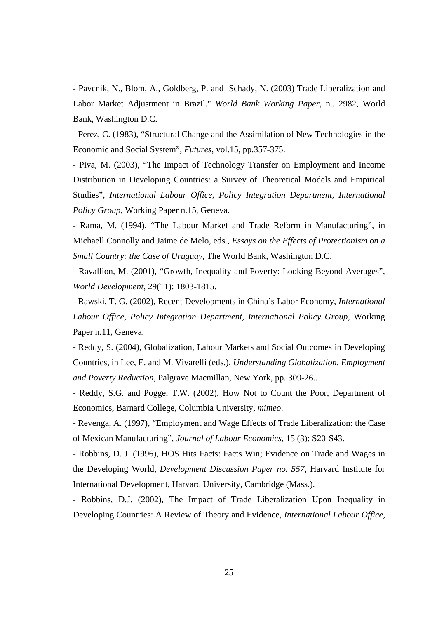- Pavcnik, N., Blom, A., Goldberg, P. and Schady, N. (2003) Trade Liberalization and Labor Market Adjustment in Brazil." *World Bank Working Paper*, n.. 2982*,* World Bank, Washington D.C.

- Perez, C. (1983), "Structural Change and the Assimilation of New Technologies in the Economic and Social System", *Futures*, vol.15, pp.357-375.

- Piva, M. (2003), "The Impact of Technology Transfer on Employment and Income Distribution in Developing Countries: a Survey of Theoretical Models and Empirical Studies", *International Labour Office, Policy Integration Department, International Policy Group,* Working Paper n.15, Geneva.

- Rama, M. (1994), "The Labour Market and Trade Reform in Manufacturing", in Michaell Connolly and Jaime de Melo, eds., *Essays on the Effects of Protectionism on a Small Country: the Case of Uruguay*, The World Bank, Washington D.C.

- Ravallion, M. (2001), "Growth, Inequality and Poverty: Looking Beyond Averages", *World Development*, 29(11): 1803-1815.

- Rawski, T. G. (2002), Recent Developments in China's Labor Economy, *International Labour Office, Policy Integration Department, International Policy Group,* Working Paper n.11, Geneva.

- Reddy, S. (2004), Globalization, Labour Markets and Social Outcomes in Developing Countries, in Lee, E. and M. Vivarelli (eds.), *Understanding Globalization, Employment and Poverty Reduction,* Palgrave Macmillan, New York, pp. 309-26..

- Reddy, S.G. and Pogge, T.W. (2002), How Not to Count the Poor, Department of Economics, Barnard College, Columbia University, *mimeo*.

- Revenga, A. (1997), "Employment and Wage Effects of Trade Liberalization: the Case of Mexican Manufacturing", *Journal of Labour Economics*, 15 (3): S20-S43.

- Robbins, D. J. (1996), HOS Hits Facts: Facts Win; Evidence on Trade and Wages in the Developing World, *Development Discussion Paper no. 557*, Harvard Institute for International Development, Harvard University, Cambridge (Mass.).

- Robbins, D.J. (2002), The Impact of Trade Liberalization Upon Inequality in Developing Countries: A Review of Theory and Evidence, *International Labour Office,*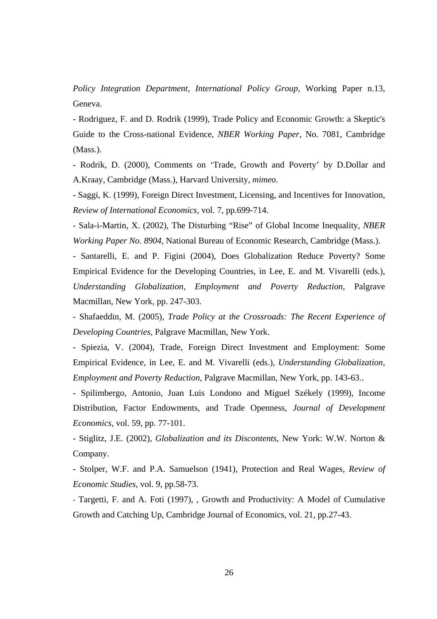*Policy Integration Department, International Policy Group,* Working Paper n.13, Geneva.

- Rodriguez, F. and D. Rodrik (1999), Trade Policy and Economic Growth: a Skeptic's Guide to the Cross-national Evidence*, NBER Working Paper*, No. 7081, Cambridge (Mass.).

- Rodrik, D. (2000), Comments on 'Trade, Growth and Poverty' by D.Dollar and A.Kraay*,* Cambridge (Mass.), Harvard University, *mimeo*.

- Saggi, K. (1999), Foreign Direct Investment, Licensing, and Incentives for Innovation, *Review of International Economics*, vol. 7, pp.699-714.

- Sala-i-Martin, X. (2002), The Disturbing "Rise" of Global Income Inequality, *NBER Working Paper No. 8904*, National Bureau of Economic Research, Cambridge (Mass.).

- Santarelli, E. and P. Figini (2004), Does Globalization Reduce Poverty? Some Empirical Evidence for the Developing Countries, in Lee, E. and M. Vivarelli (eds.), *Understanding Globalization, Employment and Poverty Reduction,* Palgrave Macmillan, New York, pp. 247-303.

- Shafaeddin, M. (2005), *Trade Policy at the Crossroads: The Recent Experience of Developing Countries,* Palgrave Macmillan, New York.

- Spiezia, V. (2004), Trade, Foreign Direct Investment and Employment: Some Empirical Evidence, in Lee, E. and M. Vivarelli (eds.), *Understanding Globalization, Employment and Poverty Reduction,* Palgrave Macmillan, New York, pp. 143-63..

- Spilimbergo, Antonio, Juan Luis Londono and Miguel Székely (1999), Income Distribution, Factor Endowments, and Trade Openness, *Journal of Development Economics*, vol. 59, pp. 77-101.

- Stiglitz, J.E. (2002), *Globalization and its Discontents*, New York: W.W. Norton & Company.

- Stolper, W.F. and P.A. Samuelson (1941), Protection and Real Wages, *Review of Economic Studies*, vol. 9, pp.58-73.

- Targetti, F. and A. Foti (1997), , Growth and Productivity: A Model of Cumulative Growth and Catching Up, Cambridge Journal of Economics, vol. 21, pp.27-43.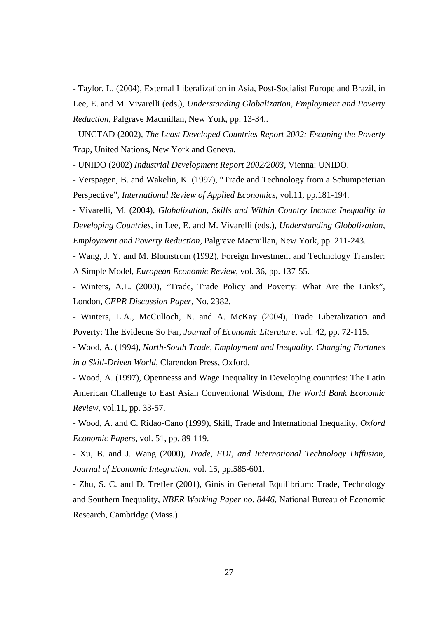- Taylor, L. (2004), External Liberalization in Asia, Post-Socialist Europe and Brazil, in Lee, E. and M. Vivarelli (eds.), *Understanding Globalization, Employment and Poverty Reduction,* Palgrave Macmillan, New York, pp. 13-34..

- UNCTAD (2002), *The Least Developed Countries Report 2002: Escaping the Poverty Trap*, United Nations, New York and Geneva.

- UNIDO (2002) *Industrial Development Report 2002/2003*, Vienna: UNIDO.

- Verspagen, B. and Wakelin, K. (1997), "Trade and Technology from a Schumpeterian Perspective", *International Review of Applied Economics*, vol.11, pp.181-194.

- Vivarelli, M. (2004), *Globalization, Skills and Within Country Income Inequality in Developing Countries*, in Lee, E. and M. Vivarelli (eds.), *Understanding Globalization, Employment and Poverty Reduction,* Palgrave Macmillan, New York, pp. 211-243.

- Wang, J. Y. and M. Blomstrom (1992), Foreign Investment and Technology Transfer: A Simple Model, *European Economic Review*, vol. 36, pp. 137-55.

- Winters, A.L. (2000), "Trade, Trade Policy and Poverty: What Are the Links"*,* London, *CEPR Discussion Paper,* No. 2382.

- Winters, L.A., McCulloch, N. and A. McKay (2004), Trade Liberalization and Poverty: The Evidecne So Far, *Journal of Economic Literature*, vol. 42, pp. 72-115.

- Wood, A. (1994), *North-South Trade, Employment and Inequality. Changing Fortunes in a Skill-Driven World*, Clarendon Press, Oxford.

- Wood, A. (1997), Opennesss and Wage Inequality in Developing countries: The Latin American Challenge to East Asian Conventional Wisdom, *The World Bank Economic Review*, vol.11, pp. 33-57.

- Wood, A. and C. Ridao-Cano (1999), Skill, Trade and International Inequality, *Oxford Economic Papers*, vol. 51, pp. 89-119.

- Xu, B. and J. Wang (2000), *Trade, FDI, and International Technology Diffusion*, *Journal of Economic Integration*, vol. 15, pp.585-601.

- Zhu, S. C. and D. Trefler (2001), Ginis in General Equilibrium: Trade, Technology and Southern Inequality, *NBER Working Paper no. 8446*, National Bureau of Economic Research, Cambridge (Mass.).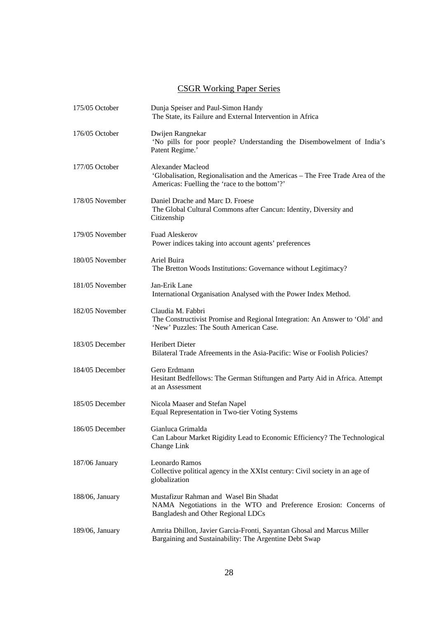### CSGR Working Paper Series

| 175/05 October  | Dunja Speiser and Paul-Simon Handy<br>The State, its Failure and External Intervention in Africa                                                    |
|-----------------|-----------------------------------------------------------------------------------------------------------------------------------------------------|
| 176/05 October  | Dwijen Rangnekar<br>'No pills for poor people? Understanding the Disembowelment of India's<br>Patent Regime.'                                       |
| 177/05 October  | Alexander Macleod<br>'Globalisation, Regionalisation and the Americas - The Free Trade Area of the<br>Americas: Fuelling the 'race to the bottom'?' |
| 178/05 November | Daniel Drache and Marc D. Froese<br>The Global Cultural Commons after Cancun: Identity, Diversity and<br>Citizenship                                |
| 179/05 November | <b>Fuad Aleskerov</b><br>Power indices taking into account agents' preferences                                                                      |
| 180/05 November | Ariel Buira<br>The Bretton Woods Institutions: Governance without Legitimacy?                                                                       |
| 181/05 November | Jan-Erik Lane<br>International Organisation Analysed with the Power Index Method.                                                                   |
| 182/05 November | Claudia M. Fabbri<br>The Constructivist Promise and Regional Integration: An Answer to 'Old' and<br>'New' Puzzles: The South American Case.         |
| 183/05 December | <b>Heribert Dieter</b><br>Bilateral Trade Afreements in the Asia-Pacific: Wise or Foolish Policies?                                                 |
| 184/05 December | Gero Erdmann<br>Hesitant Bedfellows: The German Stiftungen and Party Aid in Africa. Attempt<br>at an Assessment                                     |
| 185/05 December | Nicola Maaser and Stefan Napel<br>Equal Representation in Two-tier Voting Systems                                                                   |
| 186/05 December | Gianluca Grimalda<br>Can Labour Market Rigidity Lead to Economic Efficiency? The Technological<br>Change Link                                       |
| 187/06 January  | Leonardo Ramos<br>Collective political agency in the XXIst century: Civil society in an age of<br>globalization                                     |
| 188/06, January | Mustafizur Rahman and Wasel Bin Shadat<br>NAMA Negotiations in the WTO and Preference Erosion: Concerns of<br>Bangladesh and Other Regional LDCs    |
| 189/06, January | Amrita Dhillon, Javier Garcia-Fronti, Sayantan Ghosal and Marcus Miller<br>Bargaining and Sustainability: The Argentine Debt Swap                   |